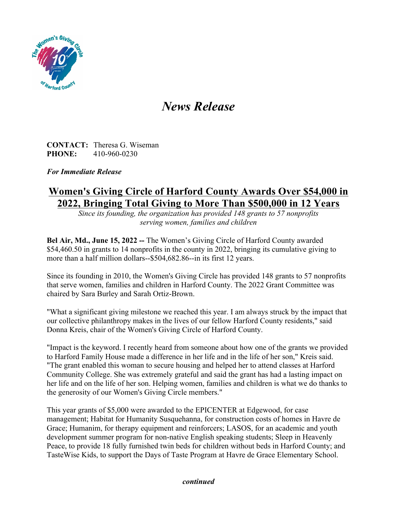

## *News Release*

**CONTACT:** Theresa G. Wiseman **PHONE:** 410-960-0230

*For Immediate Release*

## **Women's Giving Circle of Harford County Awards Over \$54,000 in 2022, Bringing Total Giving to More Than \$500,000 in 12 Years**

*Since its founding, the organization has provided 148 grants to 57 nonprofits serving women, families and children*

**Bel Air, Md., June 15, 2022 --** The Women's Giving Circle of Harford County awarded \$54,460.50 in grants to 14 nonprofits in the county in 2022, bringing its cumulative giving to more than a half million dollars--\$504,682.86--in its first 12 years.

Since its founding in 2010, the Women's Giving Circle has provided 148 grants to 57 nonprofits that serve women, families and children in Harford County. The 2022 Grant Committee was chaired by Sara Burley and Sarah Ortiz-Brown.

"What a significant giving milestone we reached this year. I am always struck by the impact that our collective philanthropy makes in the lives of our fellow Harford County residents," said Donna Kreis, chair of the Women's Giving Circle of Harford County.

"Impact is the keyword. I recently heard from someone about how one of the grants we provided to Harford Family House made a difference in her life and in the life of her son," Kreis said. "The grant enabled this woman to secure housing and helped her to attend classes at Harford Community College. She was extremely grateful and said the grant has had a lasting impact on her life and on the life of her son. Helping women, families and children is what we do thanks to the generosity of our Women's Giving Circle members."

This year grants of \$5,000 were awarded to the EPICENTER at Edgewood, for case management; Habitat for Humanity Susquehanna, for construction costs of homes in Havre de Grace; Humanim, for therapy equipment and reinforcers; LASOS, for an academic and youth development summer program for non-native English speaking students; Sleep in Heavenly Peace, to provide 18 fully furnished twin beds for children without beds in Harford County; and TasteWise Kids, to support the Days of Taste Program at Havre de Grace Elementary School.